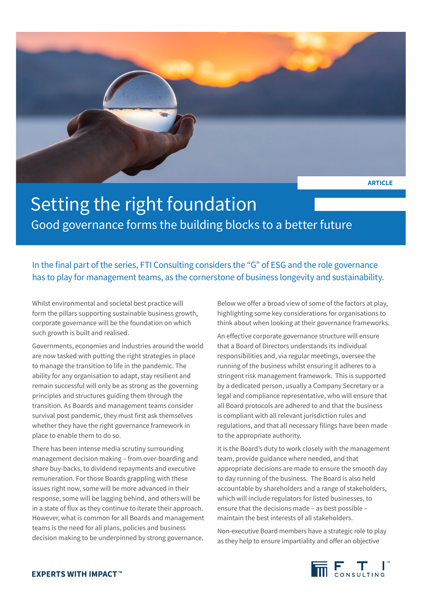

## Setting the right foundation Good governance forms the building blocks to a better future

In the final part of the series, FTI Consulting considers the "G" of ESG and the role governance has to play for management teams, as the cornerstone of business longevity and sustainability.

Whilst environmental and societal best practice will form the pillars supporting sustainable business growth, corporate governance will be the foundation on which such growth is built and realised.

Governments, economies and industries around the world are now tasked with putting the right strategies in place to manage the transition to life in the pandemic. The ability for any organisation to adapt, stay resilient and remain successful will only be as strong as the governing principles and structures guiding them through the transition. As Boards and management teams consider survival post pandemic, they must first ask themselves whether they have the right governance framework in place to enable them to do so.

There has been intense media scrutiny surrounding management decision making – from over-boarding and share buy-backs, to dividend repayments and executive remuneration. For those Boards grappling with these issues right now, some will be more advanced in their response, some will be lagging behind, and others will be in a state of flux as they continue to iterate their approach. However, what is common for all Boards and management teams is the need for all plans, policies and business decision making to be underpinned by strong governance.

Below we offer a broad view of some of the factors at play, highlighting some key considerations for organisations to think about when looking at their governance frameworks.

An effective corporate governance structure will ensure that a Board of Directors understands its individual responsibilities and, via regular meetings, oversee the running of the business whilst ensuring it adheres to a stringent risk management framework. This is supported by a dedicated person, usually a Company Secretary or a legal and compliance representative, who will ensure that all Board protocols are adhered to and that the business is compliant with all relevant jurisdiction rules and regulations, and that all necessary filings have been made to the appropriate authority.

It is the Board's duty to work closely with the management team, provide guidance where needed, and that appropriate decisions are made to ensure the smooth day to day running of the business. The Board is also held accountable by shareholders and a range of stakeholders, which will include regulators for listed businesses, to ensure that the decisions made – as best possible – maintain the best interests of all stakeholders.

Non-executive Board members have a strategic role to play as they help to ensure impartiality and offer an objective

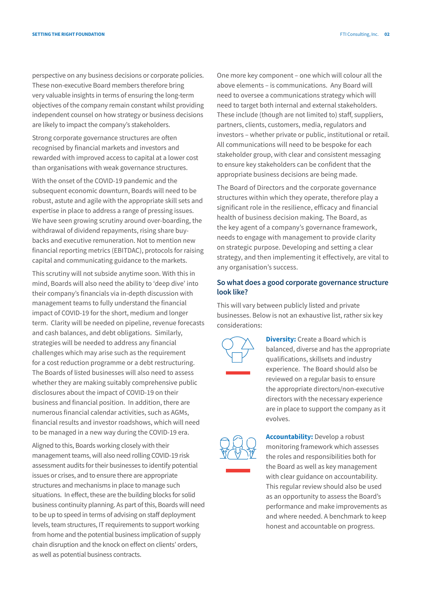perspective on any business decisions or corporate policies. These non-executive Board members therefore bring very valuable insights in terms of ensuring the long-term objectives of the company remain constant whilst providing independent counsel on how strategy or business decisions are likely to impact the company's stakeholders.

Strong corporate governance structures are often recognised by financial markets and investors and rewarded with improved access to capital at a lower cost than organisations with weak governance structures.

With the onset of the COVID-19 pandemic and the subsequent economic downturn, Boards will need to be robust, astute and agile with the appropriate skill sets and expertise in place to address a range of pressing issues. We have seen growing scrutiny around over-boarding, the withdrawal of dividend repayments, rising share buybacks and executive remuneration. Not to mention new financial reporting metrics (EBITDAC), protocols for raising capital and communicating guidance to the markets.

This scrutiny will not subside anytime soon. With this in mind, Boards will also need the ability to 'deep dive' into their company's financials via in-depth discussion with management teams to fully understand the financial impact of COVID-19 for the short, medium and longer term. Clarity will be needed on pipeline, revenue forecasts and cash balances, and debt obligations. Similarly, strategies will be needed to address any financial challenges which may arise such as the requirement for a cost reduction programme or a debt restructuring. The Boards of listed businesses will also need to assess whether they are making suitably comprehensive public disclosures about the impact of COVID-19 on their business and financial position. In addition, there are numerous financial calendar activities, such as AGMs, financial results and investor roadshows, which will need to be managed in a new way during the COVID-19 era.

Aligned to this, Boards working closely with their management teams, will also need rolling COVID-19 risk assessment audits for their businesses to identify potential issues or crises, and to ensure there are appropriate structures and mechanisms in place to manage such situations. In effect, these are the building blocks for solid business continuity planning. As part of this, Boards will need to be up to speed in terms of advising on staff deployment levels, team structures, IT requirements to support working from home and the potential business implication of supply chain disruption and the knock on effect on clients' orders, as well as potential business contracts.

One more key component – one which will colour all the above elements – is communications. Any Board will need to oversee a communications strategy which will need to target both internal and external stakeholders. These include (though are not limited to) staff, suppliers, partners, clients, customers, media, regulators and investors – whether private or public, institutional or retail. All communications will need to be bespoke for each stakeholder group, with clear and consistent messaging to ensure key stakeholders can be confident that the appropriate business decisions are being made.

The Board of Directors and the corporate governance structures within which they operate, therefore play a significant role in the resilience, efficacy and financial health of business decision making. The Board, as the key agent of a company's governance framework, needs to engage with management to provide clarity on strategic purpose. Developing and setting a clear strategy, and then implementing it effectively, are vital to any organisation's success.

## **So what does a good corporate governance structure look like?**

This will vary between publicly listed and private businesses. Below is not an exhaustive list, rather six key considerations:



**Diversity:** Create a Board which is balanced, diverse and has the appropriate qualifications, skillsets and industry experience. The Board should also be reviewed on a regular basis to ensure the appropriate directors/non-executive directors with the necessary experience are in place to support the company as it evolves.



**Accountability:** Develop a robust monitoring framework which assesses the roles and responsibilities both for the Board as well as key management with clear guidance on accountability. This regular review should also be used as an opportunity to assess the Board's performance and make improvements as and where needed. A benchmark to keep honest and accountable on progress.